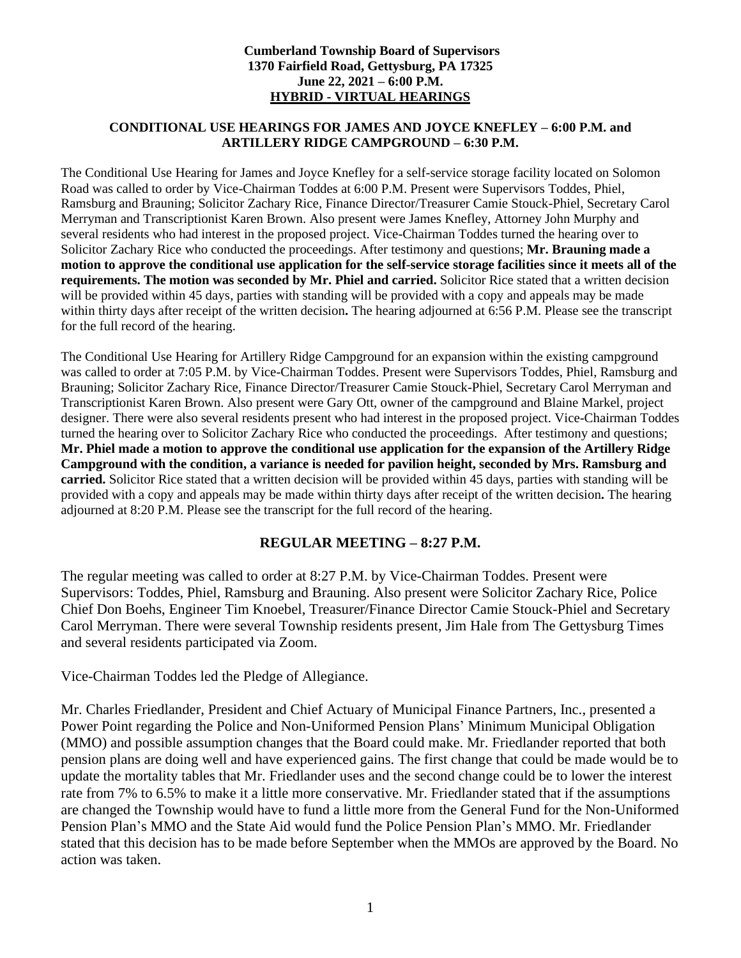#### **Cumberland Township Board of Supervisors 1370 Fairfield Road, Gettysburg, PA 17325 June 22, 2021 – 6:00 P.M. HYBRID - VIRTUAL HEARINGS**

#### **CONDITIONAL USE HEARINGS FOR JAMES AND JOYCE KNEFLEY – 6:00 P.M. and ARTILLERY RIDGE CAMPGROUND – 6:30 P.M.**

The Conditional Use Hearing for James and Joyce Knefley for a self-service storage facility located on Solomon Road was called to order by Vice-Chairman Toddes at 6:00 P.M. Present were Supervisors Toddes, Phiel, Ramsburg and Brauning; Solicitor Zachary Rice, Finance Director/Treasurer Camie Stouck-Phiel, Secretary Carol Merryman and Transcriptionist Karen Brown. Also present were James Knefley, Attorney John Murphy and several residents who had interest in the proposed project. Vice-Chairman Toddes turned the hearing over to Solicitor Zachary Rice who conducted the proceedings. After testimony and questions; **Mr. Brauning made a motion to approve the conditional use application for the self-service storage facilities since it meets all of the requirements. The motion was seconded by Mr. Phiel and carried.** Solicitor Rice stated that a written decision will be provided within 45 days, parties with standing will be provided with a copy and appeals may be made within thirty days after receipt of the written decision**.** The hearing adjourned at 6:56 P.M. Please see the transcript for the full record of the hearing.

The Conditional Use Hearing for Artillery Ridge Campground for an expansion within the existing campground was called to order at 7:05 P.M. by Vice-Chairman Toddes. Present were Supervisors Toddes, Phiel, Ramsburg and Brauning; Solicitor Zachary Rice, Finance Director/Treasurer Camie Stouck-Phiel, Secretary Carol Merryman and Transcriptionist Karen Brown. Also present were Gary Ott, owner of the campground and Blaine Markel, project designer. There were also several residents present who had interest in the proposed project. Vice-Chairman Toddes turned the hearing over to Solicitor Zachary Rice who conducted the proceedings. After testimony and questions; **Mr. Phiel made a motion to approve the conditional use application for the expansion of the Artillery Ridge Campground with the condition, a variance is needed for pavilion height, seconded by Mrs. Ramsburg and carried.** Solicitor Rice stated that a written decision will be provided within 45 days, parties with standing will be provided with a copy and appeals may be made within thirty days after receipt of the written decision**.** The hearing adjourned at 8:20 P.M. Please see the transcript for the full record of the hearing.

### **REGULAR MEETING – 8:27 P.M.**

The regular meeting was called to order at 8:27 P.M. by Vice-Chairman Toddes. Present were Supervisors: Toddes, Phiel, Ramsburg and Brauning. Also present were Solicitor Zachary Rice, Police Chief Don Boehs, Engineer Tim Knoebel, Treasurer/Finance Director Camie Stouck-Phiel and Secretary Carol Merryman. There were several Township residents present, Jim Hale from The Gettysburg Times and several residents participated via Zoom.

Vice-Chairman Toddes led the Pledge of Allegiance.

Mr. Charles Friedlander, President and Chief Actuary of Municipal Finance Partners, Inc., presented a Power Point regarding the Police and Non-Uniformed Pension Plans' Minimum Municipal Obligation (MMO) and possible assumption changes that the Board could make. Mr. Friedlander reported that both pension plans are doing well and have experienced gains. The first change that could be made would be to update the mortality tables that Mr. Friedlander uses and the second change could be to lower the interest rate from 7% to 6.5% to make it a little more conservative. Mr. Friedlander stated that if the assumptions are changed the Township would have to fund a little more from the General Fund for the Non-Uniformed Pension Plan's MMO and the State Aid would fund the Police Pension Plan's MMO. Mr. Friedlander stated that this decision has to be made before September when the MMOs are approved by the Board. No action was taken.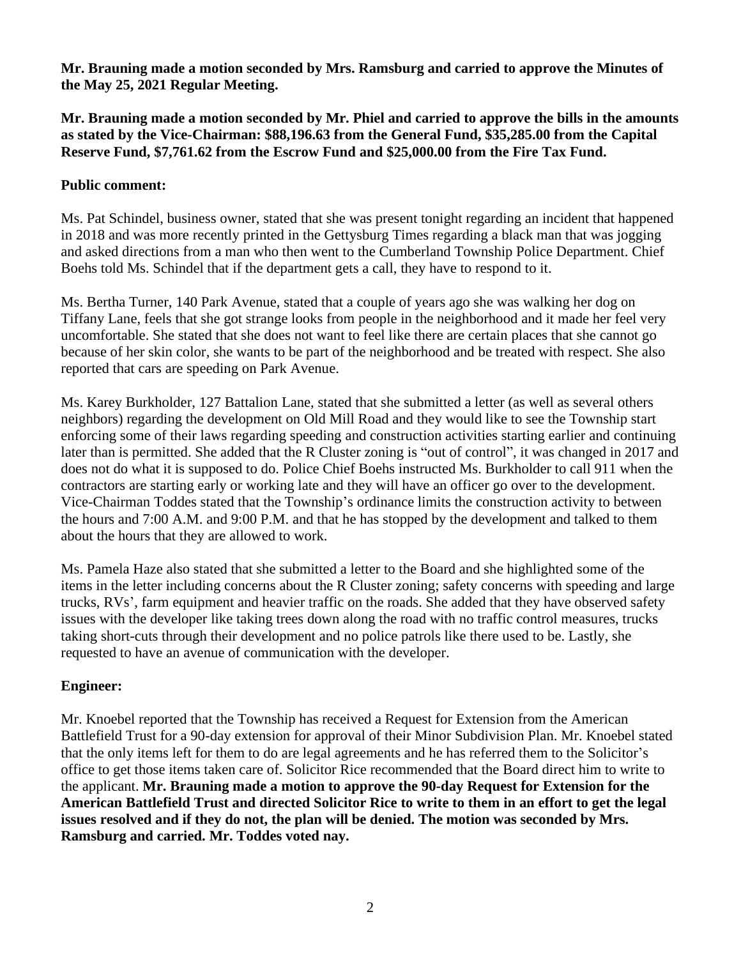**Mr. Brauning made a motion seconded by Mrs. Ramsburg and carried to approve the Minutes of the May 25, 2021 Regular Meeting.**

**Mr. Brauning made a motion seconded by Mr. Phiel and carried to approve the bills in the amounts as stated by the Vice-Chairman: \$88,196.63 from the General Fund, \$35,285.00 from the Capital Reserve Fund, \$7,761.62 from the Escrow Fund and \$25,000.00 from the Fire Tax Fund.**

## **Public comment:**

Ms. Pat Schindel, business owner, stated that she was present tonight regarding an incident that happened in 2018 and was more recently printed in the Gettysburg Times regarding a black man that was jogging and asked directions from a man who then went to the Cumberland Township Police Department. Chief Boehs told Ms. Schindel that if the department gets a call, they have to respond to it.

Ms. Bertha Turner, 140 Park Avenue, stated that a couple of years ago she was walking her dog on Tiffany Lane, feels that she got strange looks from people in the neighborhood and it made her feel very uncomfortable. She stated that she does not want to feel like there are certain places that she cannot go because of her skin color, she wants to be part of the neighborhood and be treated with respect. She also reported that cars are speeding on Park Avenue.

Ms. Karey Burkholder, 127 Battalion Lane, stated that she submitted a letter (as well as several others neighbors) regarding the development on Old Mill Road and they would like to see the Township start enforcing some of their laws regarding speeding and construction activities starting earlier and continuing later than is permitted. She added that the R Cluster zoning is "out of control", it was changed in 2017 and does not do what it is supposed to do. Police Chief Boehs instructed Ms. Burkholder to call 911 when the contractors are starting early or working late and they will have an officer go over to the development. Vice-Chairman Toddes stated that the Township's ordinance limits the construction activity to between the hours and 7:00 A.M. and 9:00 P.M. and that he has stopped by the development and talked to them about the hours that they are allowed to work.

Ms. Pamela Haze also stated that she submitted a letter to the Board and she highlighted some of the items in the letter including concerns about the R Cluster zoning; safety concerns with speeding and large trucks, RVs', farm equipment and heavier traffic on the roads. She added that they have observed safety issues with the developer like taking trees down along the road with no traffic control measures, trucks taking short-cuts through their development and no police patrols like there used to be. Lastly, she requested to have an avenue of communication with the developer.

### **Engineer:**

Mr. Knoebel reported that the Township has received a Request for Extension from the American Battlefield Trust for a 90-day extension for approval of their Minor Subdivision Plan. Mr. Knoebel stated that the only items left for them to do are legal agreements and he has referred them to the Solicitor's office to get those items taken care of. Solicitor Rice recommended that the Board direct him to write to the applicant. **Mr. Brauning made a motion to approve the 90-day Request for Extension for the American Battlefield Trust and directed Solicitor Rice to write to them in an effort to get the legal issues resolved and if they do not, the plan will be denied. The motion was seconded by Mrs. Ramsburg and carried. Mr. Toddes voted nay.**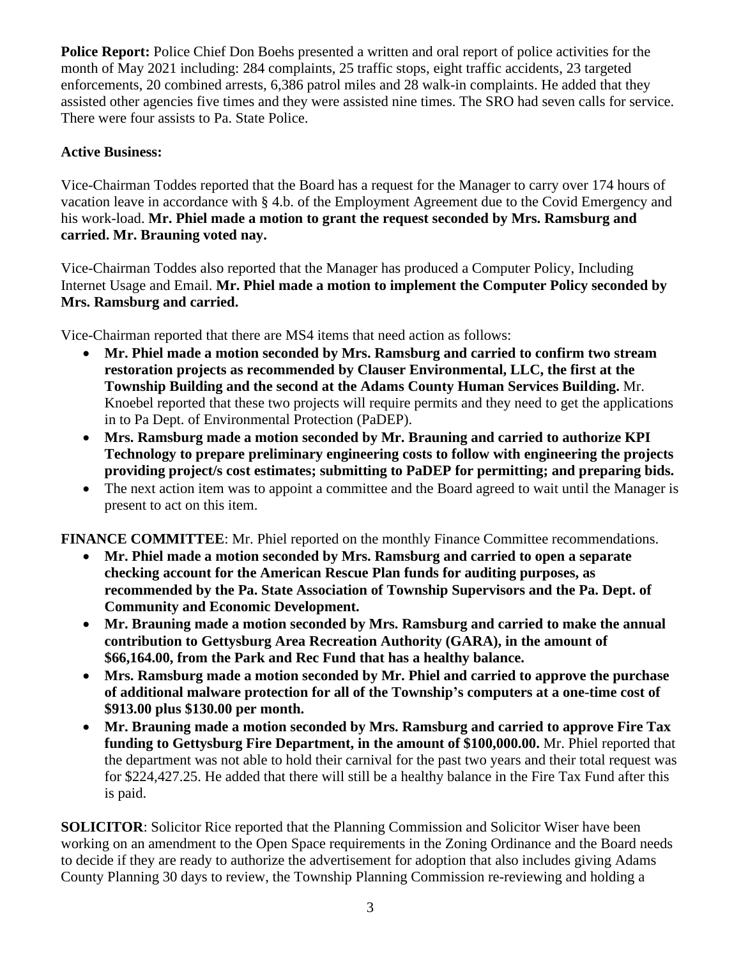**Police Report:** Police Chief Don Boehs presented a written and oral report of police activities for the month of May 2021 including: 284 complaints, 25 traffic stops, eight traffic accidents, 23 targeted enforcements, 20 combined arrests, 6,386 patrol miles and 28 walk-in complaints. He added that they assisted other agencies five times and they were assisted nine times. The SRO had seven calls for service. There were four assists to Pa. State Police.

# **Active Business:**

Vice-Chairman Toddes reported that the Board has a request for the Manager to carry over 174 hours of vacation leave in accordance with § 4.b. of the Employment Agreement due to the Covid Emergency and his work-load. **Mr. Phiel made a motion to grant the request seconded by Mrs. Ramsburg and carried. Mr. Brauning voted nay.**

Vice-Chairman Toddes also reported that the Manager has produced a Computer Policy, Including Internet Usage and Email. **Mr. Phiel made a motion to implement the Computer Policy seconded by Mrs. Ramsburg and carried.**

Vice-Chairman reported that there are MS4 items that need action as follows:

- **Mr. Phiel made a motion seconded by Mrs. Ramsburg and carried to confirm two stream restoration projects as recommended by Clauser Environmental, LLC, the first at the Township Building and the second at the Adams County Human Services Building.** Mr. Knoebel reported that these two projects will require permits and they need to get the applications in to Pa Dept. of Environmental Protection (PaDEP).
- **Mrs. Ramsburg made a motion seconded by Mr. Brauning and carried to authorize KPI Technology to prepare preliminary engineering costs to follow with engineering the projects providing project/s cost estimates; submitting to PaDEP for permitting; and preparing bids.**
- The next action item was to appoint a committee and the Board agreed to wait until the Manager is present to act on this item.

**FINANCE COMMITTEE**: Mr. Phiel reported on the monthly Finance Committee recommendations.

- **Mr. Phiel made a motion seconded by Mrs. Ramsburg and carried to open a separate checking account for the American Rescue Plan funds for auditing purposes, as recommended by the Pa. State Association of Township Supervisors and the Pa. Dept. of Community and Economic Development.**
- **Mr. Brauning made a motion seconded by Mrs. Ramsburg and carried to make the annual contribution to Gettysburg Area Recreation Authority (GARA), in the amount of \$66,164.00, from the Park and Rec Fund that has a healthy balance.**
- **Mrs. Ramsburg made a motion seconded by Mr. Phiel and carried to approve the purchase of additional malware protection for all of the Township's computers at a one-time cost of \$913.00 plus \$130.00 per month.**
- **Mr. Brauning made a motion seconded by Mrs. Ramsburg and carried to approve Fire Tax funding to Gettysburg Fire Department, in the amount of \$100,000.00.** Mr. Phiel reported that the department was not able to hold their carnival for the past two years and their total request was for \$224,427.25. He added that there will still be a healthy balance in the Fire Tax Fund after this is paid.

**SOLICITOR:** Solicitor Rice reported that the Planning Commission and Solicitor Wiser have been working on an amendment to the Open Space requirements in the Zoning Ordinance and the Board needs to decide if they are ready to authorize the advertisement for adoption that also includes giving Adams County Planning 30 days to review, the Township Planning Commission re-reviewing and holding a